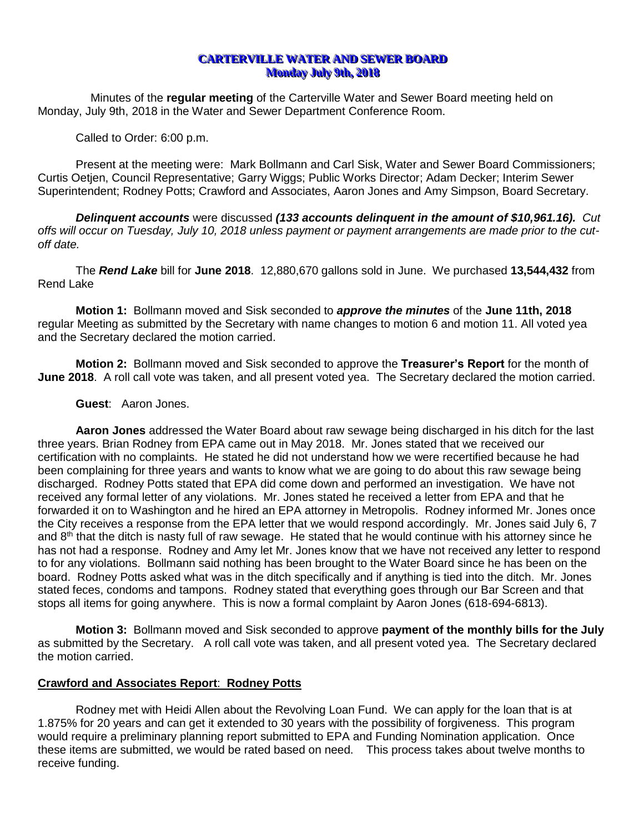# **CARTERVILLE WATER AND SEWER BOARD Monday July 9th, 2018**

Minutes of the **regular meeting** of the Carterville Water and Sewer Board meeting held on Monday, July 9th, 2018 in the Water and Sewer Department Conference Room.

Called to Order: 6:00 p.m.

Present at the meeting were: Mark Bollmann and Carl Sisk, Water and Sewer Board Commissioners; Curtis Oetjen, Council Representative; Garry Wiggs; Public Works Director; Adam Decker; Interim Sewer Superintendent; Rodney Potts; Crawford and Associates, Aaron Jones and Amy Simpson, Board Secretary.

*Delinquent accounts* were discussed *(133 accounts delinquent in the amount of \$10,961.16). Cut offs will occur on Tuesday, July 10, 2018 unless payment or payment arrangements are made prior to the cutoff date.*

The *Rend Lake* bill for **June 2018**. 12,880,670 gallons sold in June. We purchased **13,544,432** from Rend Lake

**Motion 1:** Bollmann moved and Sisk seconded to *approve the minutes* of the **June 11th, 2018**  regular Meeting as submitted by the Secretary with name changes to motion 6 and motion 11. All voted yea and the Secretary declared the motion carried.

**Motion 2:** Bollmann moved and Sisk seconded to approve the **Treasurer's Report** for the month of **June 2018**. A roll call vote was taken, and all present voted yea. The Secretary declared the motion carried.

### **Guest**: Aaron Jones.

**Aaron Jones** addressed the Water Board about raw sewage being discharged in his ditch for the last three years. Brian Rodney from EPA came out in May 2018. Mr. Jones stated that we received our certification with no complaints. He stated he did not understand how we were recertified because he had been complaining for three years and wants to know what we are going to do about this raw sewage being discharged. Rodney Potts stated that EPA did come down and performed an investigation. We have not received any formal letter of any violations. Mr. Jones stated he received a letter from EPA and that he forwarded it on to Washington and he hired an EPA attorney in Metropolis. Rodney informed Mr. Jones once the City receives a response from the EPA letter that we would respond accordingly. Mr. Jones said July 6, 7 and  $8<sup>th</sup>$  that the ditch is nasty full of raw sewage. He stated that he would continue with his attorney since he has not had a response. Rodney and Amy let Mr. Jones know that we have not received any letter to respond to for any violations. Bollmann said nothing has been brought to the Water Board since he has been on the board. Rodney Potts asked what was in the ditch specifically and if anything is tied into the ditch. Mr. Jones stated feces, condoms and tampons. Rodney stated that everything goes through our Bar Screen and that stops all items for going anywhere. This is now a formal complaint by Aaron Jones (618-694-6813).

**Motion 3:** Bollmann moved and Sisk seconded to approve **payment of the monthly bills for the July** as submitted by the Secretary. A roll call vote was taken, and all present voted yea. The Secretary declared the motion carried.

# **Crawford and Associates Report**: **Rodney Potts**

Rodney met with Heidi Allen about the Revolving Loan Fund. We can apply for the loan that is at 1.875% for 20 years and can get it extended to 30 years with the possibility of forgiveness. This program would require a preliminary planning report submitted to EPA and Funding Nomination application. Once these items are submitted, we would be rated based on need. This process takes about twelve months to receive funding.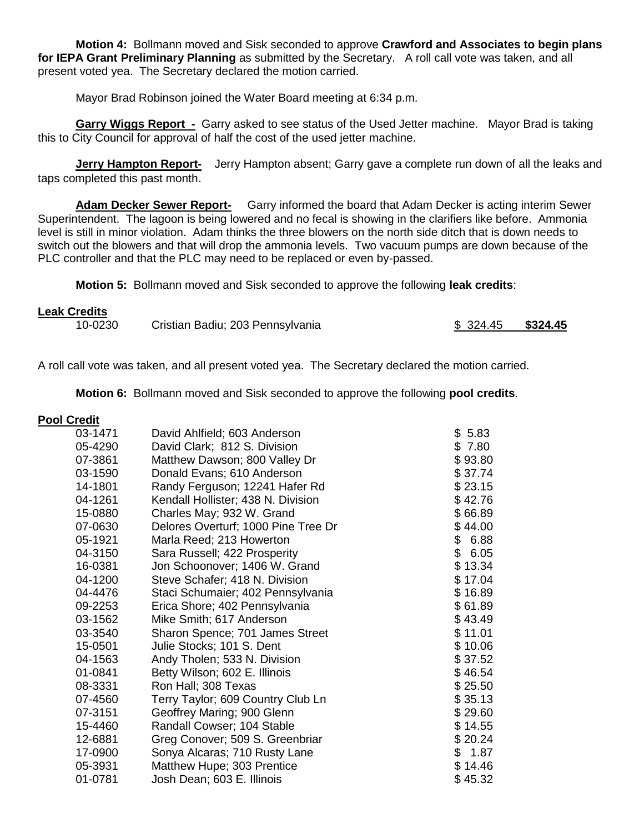**Motion 4:** Bollmann moved and Sisk seconded to approve **Crawford and Associates to begin plans for IEPA Grant Preliminary Planning** as submitted by the Secretary. A roll call vote was taken, and all present voted yea. The Secretary declared the motion carried.

Mayor Brad Robinson joined the Water Board meeting at 6:34 p.m.

**Garry Wiggs Report -** Garry asked to see status of the Used Jetter machine. Mayor Brad is taking this to City Council for approval of half the cost of the used jetter machine.

**Jerry Hampton Report-** Jerry Hampton absent; Garry gave a complete run down of all the leaks and taps completed this past month.

**Adam Decker Sewer Report-** Garry informed the board that Adam Decker is acting interim Sewer Superintendent. The lagoon is being lowered and no fecal is showing in the clarifiers like before. Ammonia level is still in minor violation. Adam thinks the three blowers on the north side ditch that is down needs to switch out the blowers and that will drop the ammonia levels. Two vacuum pumps are down because of the PLC controller and that the PLC may need to be replaced or even by-passed.

**Motion 5:** Bollmann moved and Sisk seconded to approve the following **leak credits**:

### **Leak Credits**

| Cristian Badiu; 203 Pennsylvania<br>10-0230 | $$324.45$ $$324.45$ |  |
|---------------------------------------------|---------------------|--|
|---------------------------------------------|---------------------|--|

A roll call vote was taken, and all present voted yea. The Secretary declared the motion carried*.*

**Motion 6:** Bollmann moved and Sisk seconded to approve the following **pool credits**.

# **Pool Credit**

| 03-1471 | David Ahlfield; 603 Anderson        | \$5.83     |
|---------|-------------------------------------|------------|
| 05-4290 | David Clark; 812 S. Division        | \$7.80     |
| 07-3861 | Matthew Dawson; 800 Valley Dr       | \$93.80    |
| 03-1590 | Donald Evans; 610 Anderson          | \$37.74    |
| 14-1801 | Randy Ferguson; 12241 Hafer Rd      | \$23.15    |
| 04-1261 | Kendall Hollister; 438 N. Division  | \$42.76    |
| 15-0880 | Charles May; 932 W. Grand           | \$66.89    |
| 07-0630 | Delores Overturf; 1000 Pine Tree Dr | \$44.00    |
| 05-1921 | Marla Reed; 213 Howerton            | \$<br>6.88 |
| 04-3150 | Sara Russell; 422 Prosperity        | \$<br>6.05 |
| 16-0381 | Jon Schoonover; 1406 W. Grand       | \$13.34    |
| 04-1200 | Steve Schafer; 418 N. Division      | \$17.04    |
| 04-4476 | Staci Schumaier; 402 Pennsylvania   | \$16.89    |
| 09-2253 | Erica Shore; 402 Pennsylvania       | \$61.89    |
| 03-1562 | Mike Smith; 617 Anderson            | \$43.49    |
| 03-3540 | Sharon Spence; 701 James Street     | \$11.01    |
| 15-0501 | Julie Stocks; 101 S. Dent           | \$10.06    |
| 04-1563 | Andy Tholen; 533 N. Division        | \$37.52    |
| 01-0841 | Betty Wilson; 602 E. Illinois       | \$46.54    |
| 08-3331 | Ron Hall; 308 Texas                 | \$25.50    |
| 07-4560 | Terry Taylor; 609 Country Club Ln   | \$35.13    |
| 07-3151 | Geoffrey Maring; 900 Glenn          | \$29.60    |
| 15-4460 | Randall Cowser; 104 Stable          | \$14.55    |
| 12-6881 | Greg Conover; 509 S. Greenbriar     | \$20.24    |
| 17-0900 | Sonya Alcaras; 710 Rusty Lane       | \$<br>1.87 |
| 05-3931 | Matthew Hupe; 303 Prentice          | \$14.46    |
| 01-0781 | Josh Dean; 603 E. Illinois          | \$45.32    |